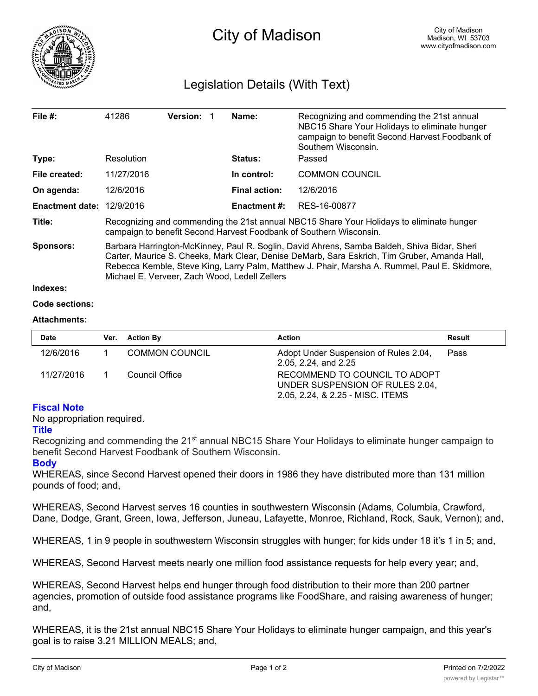

# Legislation Details (With Text)

| File $#$ :                       | 41286                                                                                                                                                                                                                                                                                                                                         | <b>Version:</b> |  | Name:                | Recognizing and commending the 21st annual<br>NBC15 Share Your Holidays to eliminate hunger<br>campaign to benefit Second Harvest Foodbank of<br>Southern Wisconsin. |  |
|----------------------------------|-----------------------------------------------------------------------------------------------------------------------------------------------------------------------------------------------------------------------------------------------------------------------------------------------------------------------------------------------|-----------------|--|----------------------|----------------------------------------------------------------------------------------------------------------------------------------------------------------------|--|
| Type:                            | Resolution                                                                                                                                                                                                                                                                                                                                    |                 |  | <b>Status:</b>       | Passed                                                                                                                                                               |  |
| File created:                    | 11/27/2016                                                                                                                                                                                                                                                                                                                                    |                 |  | In control:          | <b>COMMON COUNCIL</b>                                                                                                                                                |  |
| On agenda:                       | 12/6/2016                                                                                                                                                                                                                                                                                                                                     |                 |  | <b>Final action:</b> | 12/6/2016                                                                                                                                                            |  |
| <b>Enactment date: 12/9/2016</b> |                                                                                                                                                                                                                                                                                                                                               |                 |  | Enactment #:         | RES-16-00877                                                                                                                                                         |  |
| Title:                           | Recognizing and commending the 21st annual NBC15 Share Your Holidays to eliminate hunger<br>campaign to benefit Second Harvest Foodbank of Southern Wisconsin.                                                                                                                                                                                |                 |  |                      |                                                                                                                                                                      |  |
| <b>Sponsors:</b>                 | Barbara Harrington-McKinney, Paul R. Soglin, David Ahrens, Samba Baldeh, Shiva Bidar, Sheri<br>Carter, Maurice S. Cheeks, Mark Clear, Denise DeMarb, Sara Eskrich, Tim Gruber, Amanda Hall,<br>Rebecca Kemble, Steve King, Larry Palm, Matthew J. Phair, Marsha A. Rummel, Paul E. Skidmore,<br>Michael E. Verveer, Zach Wood, Ledell Zellers |                 |  |                      |                                                                                                                                                                      |  |
| Indexes:                         |                                                                                                                                                                                                                                                                                                                                               |                 |  |                      |                                                                                                                                                                      |  |
| Code sections:                   |                                                                                                                                                                                                                                                                                                                                               |                 |  |                      |                                                                                                                                                                      |  |

### **Attachments:**

| <b>Date</b> | Ver. Action By        | Action                                                                                               | Result |
|-------------|-----------------------|------------------------------------------------------------------------------------------------------|--------|
| 12/6/2016   | <b>COMMON COUNCIL</b> | Adopt Under Suspension of Rules 2.04,<br>2.05, 2.24, and 2.25                                        | Pass   |
| 11/27/2016  | Council Office        | RECOMMEND TO COUNCIL TO ADOPT<br>UNDER SUSPENSION OF RULES 2.04,<br>2.05, 2.24, & 2.25 - MISC. ITEMS |        |

# **Fiscal Note**

No appropriation required.

### **Title**

Recognizing and commending the 21<sup>st</sup> annual NBC15 Share Your Holidays to eliminate hunger campaign to benefit Second Harvest Foodbank of Southern Wisconsin.

# **Body**

WHEREAS, since Second Harvest opened their doors in 1986 they have distributed more than 131 million pounds of food; and,

WHEREAS, Second Harvest serves 16 counties in southwestern Wisconsin (Adams, Columbia, Crawford, Dane, Dodge, Grant, Green, Iowa, Jefferson, Juneau, Lafayette, Monroe, Richland, Rock, Sauk, Vernon); and,

WHEREAS, 1 in 9 people in southwestern Wisconsin struggles with hunger; for kids under 18 it's 1 in 5; and,

WHEREAS, Second Harvest meets nearly one million food assistance requests for help every year; and,

WHEREAS, Second Harvest helps end hunger through food distribution to their more than 200 partner agencies, promotion of outside food assistance programs like FoodShare, and raising awareness of hunger; and,

WHEREAS, it is the 21st annual NBC15 Share Your Holidays to eliminate hunger campaign, and this year's goal is to raise 3.21 MILLION MEALS; and,